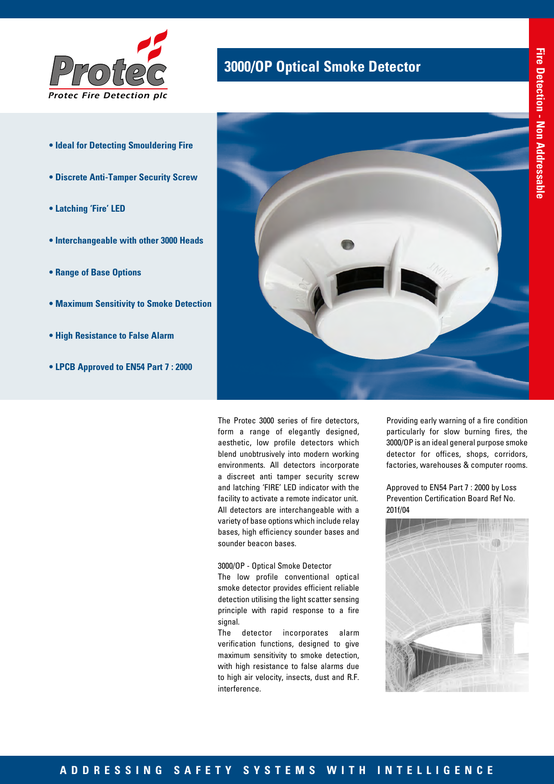

- **Ideal for Detecting Smouldering Fire**
- **Discrete Anti-Tamper Security Screw**
- **Latching 'Fire' LED**
- **Interchangeable with other 3000 Heads**
- **Range of Base Options**
- **Maximum Sensitivity to Smoke Detection**
- **High Resistance to False Alarm**
- **LPCB Approved to EN54 Part 7 : 2000**



**3000/OP Optical Smoke Detector** 

The Protec 3000 series of fire detectors, form a range of elegantly designed, aesthetic, low profile detectors which blend unobtrusively into modern working environments. All detectors incorporate a discreet anti tamper security screw and latching 'FIRE' LED indicator with the facility to activate a remote indicator unit. All detectors are interchangeable with a variety of base options which include relay bases, high efficiency sounder bases and sounder beacon bases.

3000/OP - Optical Smoke Detector

The low profile conventional optical smoke detector provides efficient reliable detection utilising the light scatter sensing principle with rapid response to a fire signal.

The detector incorporates alarm verification functions, designed to give maximum sensitivity to smoke detection, with high resistance to false alarms due to high air velocity, insects, dust and R.F. interference.

Providing early warning of a fire condition particularly for slow burning fires, the 3000/OP is an ideal general purpose smoke detector for offices, shops, corridors, factories, warehouses & computer rooms.

Approved to EN54 Part 7 : 2000 by Loss Prevention Certification Board Ref No. 201f/04